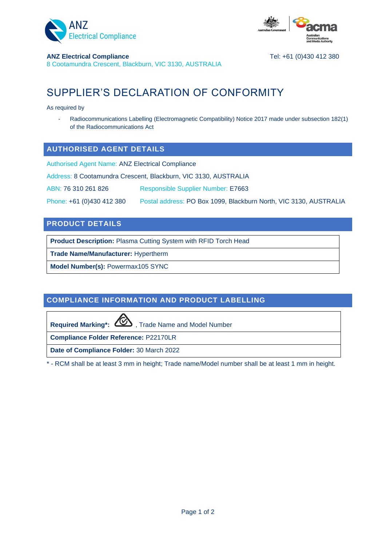



### **ANZ Electrical Compliance** Tel: +61 (0)430 412 380

8 Cootamundra Crescent, Blackburn, VIC 3130, AUSTRALIA

# SUPPLIER'S DECLARATION OF CONFORMITY

As required by

Radiocommunications Labelling (Electromagnetic Compatibility) Notice 2017 made under subsection 182(1) of the Radiocommunications Act

### **AUTHORISED AGENT DETAILS**

Authorised Agent Name: ANZ Electrical Compliance

Address: 8 Cootamundra Crescent, Blackburn, VIC 3130, AUSTRALIA

ABN: 76 310 261 826 Responsible Supplier Number: E7663

Phone: +61 (0)430 412 380 Postal address: PO Box 1099, Blackburn North, VIC 3130, AUSTRALIA

### **PRODUCT DETAILS**

**Product Description:** Plasma Cutting System with RFID Torch Head

**Trade Name/Manufacturer:** Hypertherm

**Model Number(s):** Powermax105 SYNC

### **COMPLIANCE INFORMATION AND PRODUCT LABELLING**

Required Marking\*: **WED**, Trade Name and Model Number

**Compliance Folder Reference:** P22170LR

**Date of Compliance Folder:** 30 March 2022

\* - RCM shall be at least 3 mm in height; Trade name/Model number shall be at least 1 mm in height.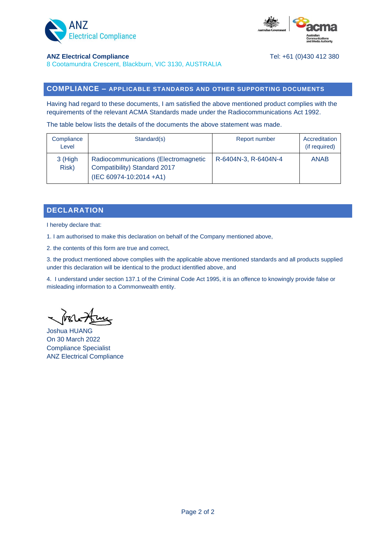



#### **ANZ Electrical Compliance** Tel: +61 (0)430 412 380

8 Cootamundra Crescent, Blackburn, VIC 3130, AUSTRALIA

### **COMPLIANCE – APPLICABLE STANDARDS AND OTHER SUPPORTING DOCUMENTS**

Having had regard to these documents, I am satisfied the above mentioned product complies with the requirements of the relevant ACMA Standards made under the Radiocommunications Act 1992.

The table below lists the details of the documents the above statement was made.

| Compliance<br>Level | Standard(s)                                                                                     | Report number        | Accreditation<br>(if required) |
|---------------------|-------------------------------------------------------------------------------------------------|----------------------|--------------------------------|
| 3 (High<br>Risk)    | Radiocommunications (Electromagnetic<br>Compatibility) Standard 2017<br>(IEC 60974-10:2014 +A1) | R-6404N-3, R-6404N-4 | <b>ANAB</b>                    |

### **DECLARATION**

I hereby declare that:

1. I am authorised to make this declaration on behalf of the Company mentioned above,

2. the contents of this form are true and correct,

3. the product mentioned above complies with the applicable above mentioned standards and all products supplied under this declaration will be identical to the product identified above, and

4. I understand under section 137.1 of the Criminal Code Act 1995, it is an offence to knowingly provide false or misleading information to a Commonwealth entity.

Joshua HUANG On 30 March 2022 Compliance Specialist ANZ Electrical Compliance